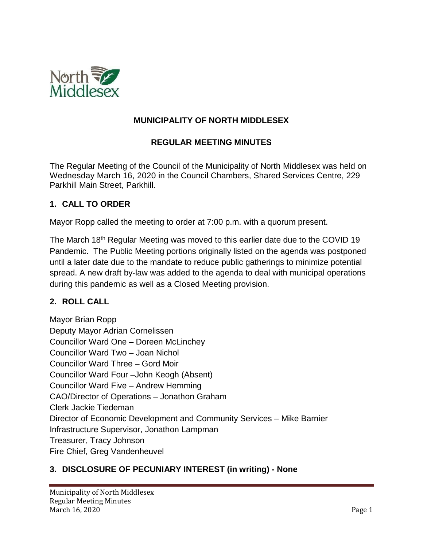

### **MUNICIPALITY OF NORTH MIDDLESEX**

#### **REGULAR MEETING MINUTES**

The Regular Meeting of the Council of the Municipality of North Middlesex was held on Wednesday March 16, 2020 in the Council Chambers, Shared Services Centre, 229 Parkhill Main Street, Parkhill.

#### **1. CALL TO ORDER**

Mayor Ropp called the meeting to order at 7:00 p.m. with a quorum present.

The March 18<sup>th</sup> Regular Meeting was moved to this earlier date due to the COVID 19 Pandemic. The Public Meeting portions originally listed on the agenda was postponed until a later date due to the mandate to reduce public gatherings to minimize potential spread. A new draft by-law was added to the agenda to deal with municipal operations during this pandemic as well as a Closed Meeting provision.

#### **2. ROLL CALL**

Mayor Brian Ropp Deputy Mayor Adrian Cornelissen Councillor Ward One – Doreen McLinchey Councillor Ward Two – Joan Nichol Councillor Ward Three – Gord Moir Councillor Ward Four –John Keogh (Absent) Councillor Ward Five – Andrew Hemming CAO/Director of Operations – Jonathon Graham Clerk Jackie Tiedeman Director of Economic Development and Community Services – Mike Barnier Infrastructure Supervisor, Jonathon Lampman Treasurer, Tracy Johnson Fire Chief, Greg Vandenheuvel

#### **3. DISCLOSURE OF PECUNIARY INTEREST (in writing) - None**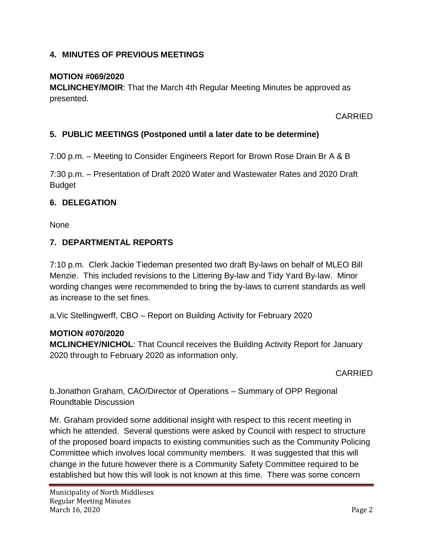### **4. MINUTES OF PREVIOUS MEETINGS**

#### **MOTION #069/2020**

**MCLINCHEY/MOIR**: That the March 4th Regular Meeting Minutes be approved as presented.

CARRIED

### **5. PUBLIC MEETINGS (Postponed until a later date to be determine)**

7:00 p.m. – Meeting to Consider Engineers Report for Brown Rose Drain Br A & B

7:30 p.m. – Presentation of Draft 2020 Water and Wastewater Rates and 2020 Draft Budget

#### **6. DELEGATION**

None

#### **7. DEPARTMENTAL REPORTS**

7:10 p.m. Clerk Jackie Tiedeman presented two draft By-laws on behalf of MLEO Bill Menzie. This included revisions to the Littering By-law and Tidy Yard By-law. Minor wording changes were recommended to bring the by-laws to current standards as well as increase to the set fines.

a.Vic Stellingwerff, CBO – Report on Building Activity for February 2020

#### **MOTION #070/2020**

**MCLINCHEY/NICHOL**: That Council receives the Building Activity Report for January 2020 through to February 2020 as information only.

#### CARRIED

b.Jonathon Graham, CAO/Director of Operations – Summary of OPP Regional Roundtable Discussion

Mr. Graham provided some additional insight with respect to this recent meeting in which he attended. Several questions were asked by Council with respect to structure of the proposed board impacts to existing communities such as the Community Policing Committee which involves local community members. It was suggested that this will change in the future however there is a Community Safety Committee required to be established but how this will look is not known at this time. There was some concern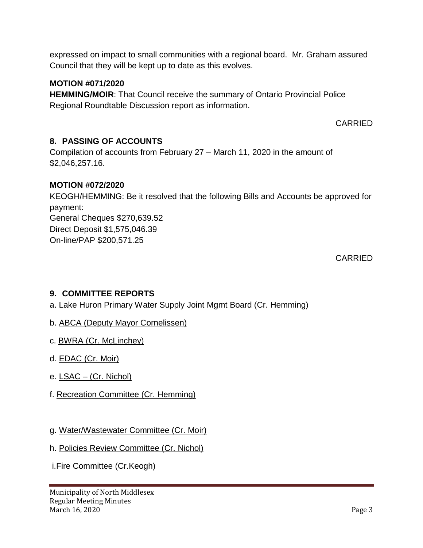expressed on impact to small communities with a regional board. Mr. Graham assured Council that they will be kept up to date as this evolves.

#### **MOTION #071/2020**

**HEMMING/MOIR**: That Council receive the summary of Ontario Provincial Police Regional Roundtable Discussion report as information.

CARRIED

# **8. PASSING OF ACCOUNTS**

Compilation of accounts from February 27 – March 11, 2020 in the amount of \$2,046,257.16.

#### **MOTION #072/2020**

KEOGH/HEMMING: Be it resolved that the following Bills and Accounts be approved for payment: General Cheques \$270,639.52 Direct Deposit \$1,575,046.39 On-line/PAP \$200,571.25

CARRIED

# **9. COMMITTEE REPORTS**

a. Lake Huron Primary Water Supply Joint Mgmt Board (Cr. Hemming)

- b. ABCA (Deputy Mayor Cornelissen)
- c. BWRA (Cr. McLinchey)
- d. **EDAC** (Cr. Moir)
- e. LSAC (Cr. Nichol)
- f. Recreation Committee (Cr. Hemming)
- g. Water/Wastewater Committee (Cr. Moir)
- h. Policies Review Committee (Cr. Nichol)
- i.Fire Committee (Cr.Keogh)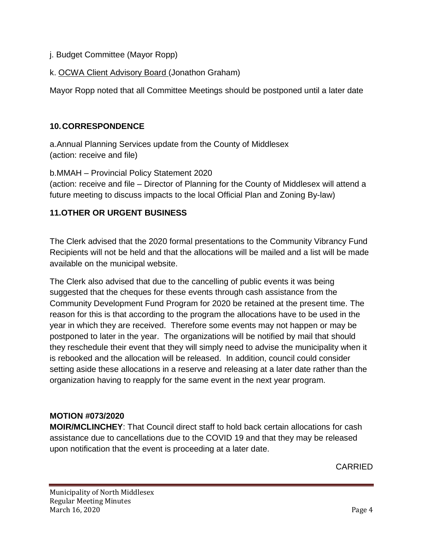- j. Budget Committee (Mayor Ropp)
- k. OCWA Client Advisory Board (Jonathon Graham)

Mayor Ropp noted that all Committee Meetings should be postponed until a later date

### **10.CORRESPONDENCE**

a.Annual Planning Services update from the County of Middlesex (action: receive and file)

b.MMAH – Provincial Policy Statement 2020 (action: receive and file – Director of Planning for the County of Middlesex will attend a future meeting to discuss impacts to the local Official Plan and Zoning By-law)

# **11.OTHER OR URGENT BUSINESS**

The Clerk advised that the 2020 formal presentations to the Community Vibrancy Fund Recipients will not be held and that the allocations will be mailed and a list will be made available on the municipal website.

The Clerk also advised that due to the cancelling of public events it was being suggested that the cheques for these events through cash assistance from the Community Development Fund Program for 2020 be retained at the present time. The reason for this is that according to the program the allocations have to be used in the year in which they are received. Therefore some events may not happen or may be postponed to later in the year. The organizations will be notified by mail that should they reschedule their event that they will simply need to advise the municipality when it is rebooked and the allocation will be released. In addition, council could consider setting aside these allocations in a reserve and releasing at a later date rather than the organization having to reapply for the same event in the next year program.

#### **MOTION #073/2020**

**MOIR/MCLINCHEY**: That Council direct staff to hold back certain allocations for cash assistance due to cancellations due to the COVID 19 and that they may be released upon notification that the event is proceeding at a later date.

CARRIED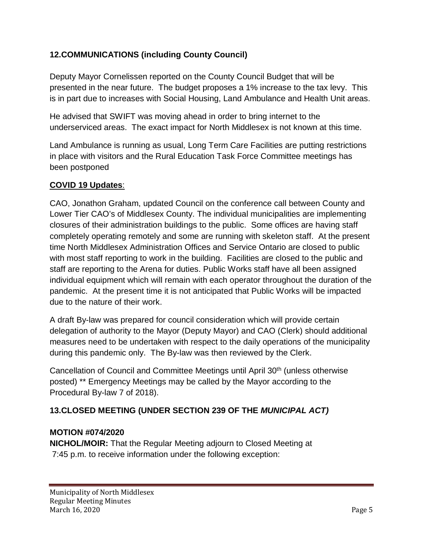# **12.COMMUNICATIONS (including County Council)**

Deputy Mayor Cornelissen reported on the County Council Budget that will be presented in the near future. The budget proposes a 1% increase to the tax levy. This is in part due to increases with Social Housing, Land Ambulance and Health Unit areas.

He advised that SWIFT was moving ahead in order to bring internet to the underserviced areas. The exact impact for North Middlesex is not known at this time.

Land Ambulance is running as usual, Long Term Care Facilities are putting restrictions in place with visitors and the Rural Education Task Force Committee meetings has been postponed

# **COVID 19 Updates**:

CAO, Jonathon Graham, updated Council on the conference call between County and Lower Tier CAO's of Middlesex County. The individual municipalities are implementing closures of their administration buildings to the public. Some offices are having staff completely operating remotely and some are running with skeleton staff. At the present time North Middlesex Administration Offices and Service Ontario are closed to public with most staff reporting to work in the building. Facilities are closed to the public and staff are reporting to the Arena for duties. Public Works staff have all been assigned individual equipment which will remain with each operator throughout the duration of the pandemic. At the present time it is not anticipated that Public Works will be impacted due to the nature of their work.

A draft By-law was prepared for council consideration which will provide certain delegation of authority to the Mayor (Deputy Mayor) and CAO (Clerk) should additional measures need to be undertaken with respect to the daily operations of the municipality during this pandemic only. The By-law was then reviewed by the Clerk.

Cancellation of Council and Committee Meetings until April 30<sup>th</sup> (unless otherwise posted) \*\* Emergency Meetings may be called by the Mayor according to the Procedural By-law 7 of 2018).

# **13.CLOSED MEETING (UNDER SECTION 239 OF THE** *MUNICIPAL ACT)*

#### **MOTION #074/2020**

**NICHOL/MOIR:** That the Regular Meeting adjourn to Closed Meeting at 7:45 p.m. to receive information under the following exception: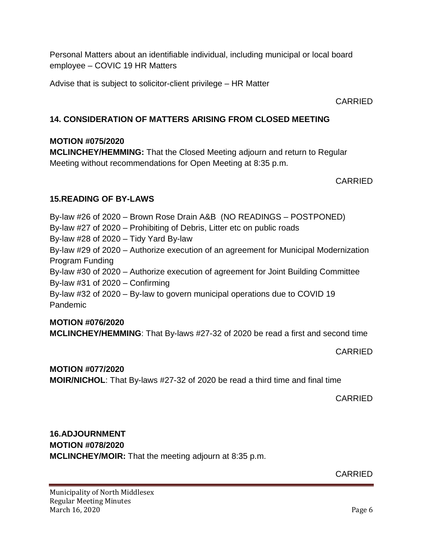Personal Matters about an identifiable individual, including municipal or local board employee – COVIC 19 HR Matters

Advise that is subject to solicitor-client privilege – HR Matter

CARRIED

# **14. CONSIDERATION OF MATTERS ARISING FROM CLOSED MEETING**

#### **MOTION #075/2020**

**MCLINCHEY/HEMMING:** That the Closed Meeting adjourn and return to Regular Meeting without recommendations for Open Meeting at 8:35 p.m.

CARRIED

# **15.READING OF BY-LAWS**

By-law #26 of 2020 – Brown Rose Drain A&B (NO READINGS – POSTPONED)

By-law #27 of 2020 – Prohibiting of Debris, Litter etc on public roads

By-law #28 of 2020 – Tidy Yard By-law

By-law #29 of 2020 – Authorize execution of an agreement for Municipal Modernization Program Funding

By-law #30 of 2020 – Authorize execution of agreement for Joint Building Committee By-law #31 of 2020 – Confirming

By-law #32 of 2020 – By-law to govern municipal operations due to COVID 19 Pandemic

# **MOTION #076/2020**

**MCLINCHEY/HEMMING**: That By-laws #27-32 of 2020 be read a first and second time

CARRIED

# **MOTION #077/2020**

**MOIR/NICHOL**: That By-laws #27-32 of 2020 be read a third time and final time

CARRIED

# **16.ADJOURNMENT**

**MOTION #078/2020 MCLINCHEY/MOIR:** That the meeting adjourn at 8:35 p.m.

CARRIED